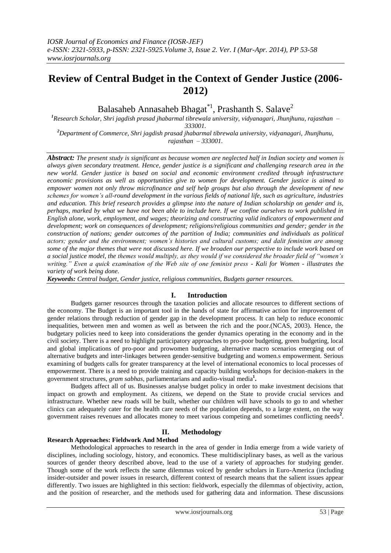# **Review of Central Budget in the Context of Gender Justice (2006- 2012)**

Balasaheb Annasaheb Bhagat $*$ <sup>1</sup>, Prashanth S. Salave<sup>2</sup>

*<sup>1</sup>Research Scholar, Shri jagdish prasad jhabarmal tibrewala university, vidyanagari, Jhunjhunu, rajasthan – 333001.*

*<sup>2</sup>Department of Commerce, Shri jagdish prasad jhabarmal tibrewala university, vidyanagari, Jhunjhunu, rajasthan – 333001.*

*Abstract: The present study is significant as because women are neglected half in Indian society and women is always given secondary treatment. Hence, gender justice is a significant and challenging research area in the new world. Gender justice is based on social and economic environment credited through infrastructure economic provisions as well as opportunities give to women for development. Gender justice is aimed to empower women not only throw microfinance and self help groups but also through the development of new schemes for women's all-round development in the various fields of national life, such as agriculture, industries and education. This brief research provides a glimpse into the nature of Indian scholarship on gender and is, perhaps, marked by what we have not been able to include here. If we confine ourselves to work published in English alone, work, employment, and wages; theorizing and constructing valid indicators of empowerment and development; work on consequences of development; religions/religious communities and gender; gender in the construction of nations; gender outcomes of the partition of India; communities and individuals as political actors; gender and the environment; women's histories and cultural customs; and dalit feminism are among some of the major themes that were not discussed here. If we broaden our perspective to include work based on a social justice model, the themes would multiply, as they would if we considered the broader field of "women's writing." Even a quick examination of the Web site of one feminist press - Kali for Women - illustrates the variety of work being done.* 

*Keywords: Central budget, Gender justice, religious communities, Budgets garner resources.*

# **I. Introduction**

Budgets garner resources through the taxation policies and allocate resources to different sections of the economy. The Budget is an important tool in the hands of state for affirmative action for improvement of gender relations through reduction of gender gap in the development process. It can help to reduce economic inequalities, between men and women as well as between the rich and the poor.(NCAS, 2003). Hence, the budgetary policies need to keep into considerations the gender dynamics operating in the economy and in the civil society. There is a need to highlight participatory approaches to pro-poor budgeting, green budgeting, local and global implications of pro-poor and prowomen budgeting, alternative macro scenarios emerging out of alternative budgets and inter-linkages between gender-sensitive budgeting and women.s empowerment. Serious examining of budgets calls for greater transparency at the level of international economics to local processes of empowerment. There is a need to provide training and capacity building workshops for decision-makers in the government structures, *gram sabhas*, parliamentarians and audio-visual media**<sup>1</sup> .**

Budgets affect all of us. Businesses analyse budget policy in order to make investment decisions that impact on growth and employment. As citizens, we depend on the State to provide crucial services and infrastructure. Whether new roads will be built, whether our children will have schools to go to and whether clinics can adequately cater for the health care needs of the population depends, to a large extent, on the way government raises revenues and allocates money to meet various competing and sometimes conflicting needs**<sup>2</sup>** .

# **II. Methodology**

#### **Research Approaches: Fieldwork And Method**

Methodological approaches to research in the area of gender in India emerge from a wide variety of disciplines, including sociology, history, and economics. These multidisciplinary bases, as well as the various sources of gender theory described above, lead to the use of a variety of approaches for studying gender. Though some of the work reflects the same dilemmas voiced by gender scholars in Euro-America (including insider-outsider and power issues in research, different context of research means that the salient issues appear differently. Two issues are highlighted in this section: fieldwork, especially the dilemmas of objectivity, action, and the position of researcher, and the methods used for gathering data and information. These discussions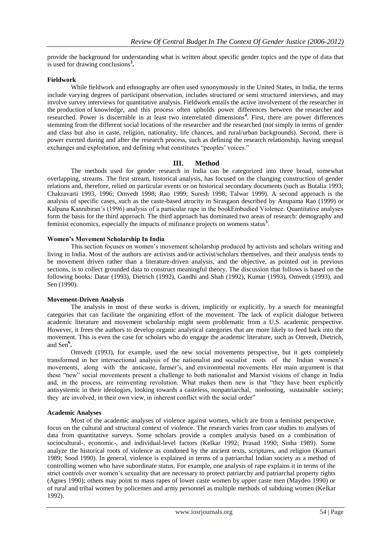provide the background for understanding what is written about specific gender topics and the type of data that is used for drawing conclusions**<sup>3</sup> .**

## **Fieldwork**

While fieldwork and ethnography are often used synonymously in the United States, in India, the terms include varying degrees of participant observation, includes structured or semi structured interviews, and may involve survey interviews for quantitative analysis. Fieldwork entails the active involvement of the researcher in the production of knowledge, and this process often upholds power differences between the researcher and researched. Power is discernible in at least two interrelated dimensions**<sup>4</sup>** . First, there are power differences stemming from the different social locations of the researcher and the researched (not simply in terms of gender and class but also in caste, religion, nationality, life chances, and rural/urban backgrounds). Second, there is power exerted during and after the research process, such as defining the research relationship, having unequal exchanges and exploitation, and defining what constitutes "peoples' voices."

# **III. Method**

The methods used for gender research in India can be categorized into three broad, somewhat overlapping, streams. The first stream, historical analysis, has focused on the changing construction of gender relations and, therefore, relied on particular events or on historical secondary documents (such as Butalia 1993; Chakravarti 1993, 1996; Omvedt 1998; Rao 1999; Suresh 1998; Talwar 1999). A second approach is the analysis of specific cases, such as the caste-based atrocity in Sirasgaon described by Anupama Rao (1999) or Kalpana Kannibiran's (1996) analysis of a particular rape in the bookEmbodied Violence. Quantitative analyses form the basis for the third approach. The third approach has dominated two areas of research: demography and feminist economics, especially the impacts of mifinance projects on womens status**<sup>5</sup>** .

#### **Women's Movement Scholarship In India**

This section focuses on women's movement scholarship produced by activists and scholars writing and living in India. Most of the authors are activists and/or activist/scholars themselves, and their analysis tends to be movement driven rather than a literature-driven analysis, and the objective, as pointed out in previous sections, is to collect grounded data to construct meaningful theory. The discussion that follows is based on the following books: Datar (1993), Dietrich (1992), Gandhi and Shah (1992), Kumar (1993), Omvedt (1993), and Sen (1990).

#### **Movement-Driven Analysis**

The analysis in most of these works is driven, implicitly or explicitly, by a search for meaningful categories that can facilitate the organizing effort of the movement. The lack of explicit dialogue between academic literature and movement scholarship might seem problematic from a U.S. academic perspective. However, it frees the authors to develop organic analytical categories that are more likely to feed back into the movement. This is even the case for scholars who do engage the academic literature, such as Omvedt, Dietrich, and Sen**<sup>6</sup> .**

Omvedt (1993), for example, used the new social movements perspective, but it gets completely transformed in her intersectional analysis of the nationalist and socialist roots of the Indian women's movements, along with the anticaste, farmer's, and environmental movements. Her main argument is that these "new" social movements present a challenge to both nationalist and Marxist visions of change in India and, in the process, are reinventing revolution. What makes them new is that "they have been explicitly antisystemic in their ideologies, looking towards a casteless, nonpatriarchal, nonlooting, sustainable society; they are involved, in their own view, in inherent conflict with the social order"

#### **Academic Analyses**

Most of the academic analyses of violence against women, which are from a feminist perspective, focus on the cultural and structural context of violence. The research varies from case studies to analyses of data from quantitative surveys. Some scholars provide a complex analysis based on a combination of sociocultural-, economic-, and individual-level factors (Kelkar 1992; Prasad 1990; Sinha 1989). Some analyze the historical roots of violence as condoned by the ancient texts, scriptures, and religion (Kumari 1989; Sood 1990). In general, violence is explained in terms of a patriarchal Indian society as a method of controlling women who have subordinate status. For example, one analysis of rape explains it in terms of the strict controls over women's sexuality that are necessary to protect patriarchy and patriarchal property rights (Agnes 1990); others may point to mass rapes of lower caste women by upper caste men (Maydeo 1990) or of rural and tribal women by policemen and army personnel as multiple methods of subduing women (Kelkar 1992).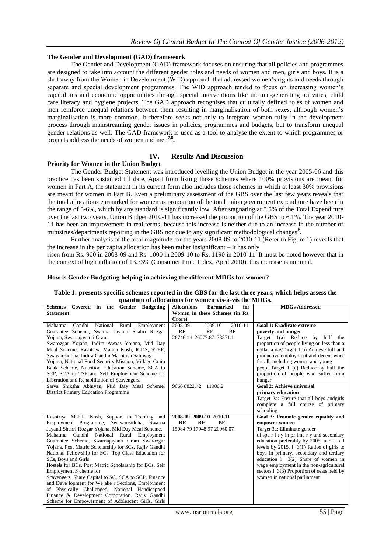#### **The Gender and Development (GAD) framework**

The Gender and Development (GAD) framework focuses on ensuring that all policies and programmes are designed to take into account the different gender roles and needs of women and men, girls and boys. It is a shift away from the Women in Development (WID) approach that addressed women's rights and needs through separate and special development programmes. The WID approach tended to focus on increasing women's capabilities and economic opportunities through special interventions like income-generating activities, child care literacy and hygiene projects. The GAD approach recognises that culturally defined roles of women and men reinforce unequal relations between them resulting in marginalisation of both sexes, although women's marginalisation is more common. It therefore seeks not only to integrate women fully in the development process through mainstreaming gender issues in policies, programmes and budgets, but to transform unequal gender relations as well. The GAD framework is used as a tool to analyse the extent to which programmes or projects address the needs of women and men**7,8 .**

## **IV. Results And Discussion**

#### **Priority for Women in the Union Budget**

The Gender Budget Statement was introduced levelling the Union Budget in the year 2005-06 and this practice has been sustained till date. Apart from listing those schemes where 100% provisions are meant for women in Part A, the statement in its current form also includes those schemes in which at least 30% provisions are meant for women in Part B. Even a preliminary assessment of the GBS over the last few years reveals that the total allocations earmarked for women as proportion of the total union government expenditure have been in the range of 5-6%, which by any standard is significantly low. After stagnating at 5.5% of the Total Expenditure over the last two years, Union Budget 2010-11 has increased the proportion of the GBS to 6.1%. The year 2010- 11 has been an improvement in real terms, because this increase is neither due to an increase in the number of ministries/departments reporting in the GBS nor due to any significant methodological changes**<sup>9</sup>** .

Further analysis of the total magnitude for the years 2008-09 to 2010-11 (Refer to Figure 1) reveals that the increase in the per capita allocation has been rather insignificant – it has only risen from Rs. 900 in 2008-09 and Rs. 1000 in 2009-10 to Rs. 1190 in 2010-11. It must be noted however that in

the context of high inflation of 13.33% (Consumer Price Index, April 2010), this increase is nominal.

# **How is Gender Budgeting helping in achieving the different MDGs for women?**

#### **Table 1: presents specific schemes reported in the GBS for the last three years, which helps assess the quantum of allocations for women vis-à-vis the MDGs.**

| Schemes Covered in the Gender Budgeting                | <b>Allocations</b><br><b>Earmarked</b><br>for | <b>MDGs Addressed</b>                           |
|--------------------------------------------------------|-----------------------------------------------|-------------------------------------------------|
| <b>Statement</b>                                       | Women in these Schemes (in Rs.                |                                                 |
|                                                        | Crore)                                        |                                                 |
| Rural Employment<br>Gandhi<br>National<br>Mahatma      | 2008-09<br>2010-11<br>2009-10                 | <b>Goal 1: Eradicate extreme</b>                |
| Guarantee Scheme, Swarna Jayanti Shahri Rozgar         | RE<br>RE<br>BE                                | poverty and hunger                              |
| Yojana, Swarnajayanti Gram                             | 26746.14 26077.87 33871.1                     | Target $1(a)$ Reduce by half the                |
| Swarozgar Yojana, Indira Awaas Yojana, Mid Day         |                                               | proportion of people living on less than a      |
| Meal Scheme, Rashtriya Mahila Kosh, ICDS, STEP,        |                                               | dollar a dayTarget 1(b) Achieve full and        |
| Swayamsiddha, Indira Gandhi Matritava Sahoyog          |                                               | productive employment and decent work           |
| Yojana, National Food Security Mission, Village Grain  |                                               | for all, including women and young              |
| Bank Scheme, Nutrition Education Scheme, SCA to        |                                               | peopleTarget 1 (c) Reduce by half the           |
| SCP, SCA to TSP and Self Employment Scheme for         |                                               | proportion of people who suffer from            |
| Liberation and Rehabilitation of Scavengers.           |                                               | hunger                                          |
| Sarva Shiksha Abhiyan, Mid Day Meal Scheme,            | 9066 8822.42<br>11980.2                       | <b>Goal 2: Achieve universal</b>                |
| <b>District Primary Education Programme</b>            |                                               | primary education                               |
|                                                        |                                               | Target 2a: Ensure that all boys andgirls        |
|                                                        |                                               | complete a full course of primary               |
|                                                        |                                               | schooling                                       |
| Rashtriya Mahila Kosh, Support to Training and         | 2008-09 2009-10 2010-11                       | Goal 3: Promote gender equality and             |
| Employment Programme, Swayamsiddha, Swarna             | <b>RE</b><br>RE<br><b>BE</b>                  | empower women                                   |
| Jayanti Shahri Rozgar Yojana, Mid Day Meal Scheme,     | 15084.79 17948.97 20960.07                    | Target 3a: Eliminate gender                     |
| Mahatma Gandhi National Rural Employment               |                                               | di spa $\tau$ i t y in pr ima r y and secondary |
| Guarantee Scheme, Swarnajayanti Gram Swarozgar         |                                               | education preferably by 2005, and at all        |
| Yojana, Post Matric Scholarship for SCs, Rajiv Gandhi  |                                               | levels by $2015.1$ $3(1)$ Ratios of girls to    |
| National Fellowship for SCs, Top Class Education for   |                                               | boys in primary, secondary and tertiary         |
| SCs, Boys and Girls                                    |                                               | education $1 \quad 3(2)$ Share of women in      |
| Hostels for BCs, Post Matric Scholarship for BCs, Self |                                               | wage employment in the non-agricultural         |
| Employment S cheme for                                 |                                               | sectors $1\,3(3)$ Proportion of seats held by   |
| Scavengers, Share Capital to SC, SCA to SCP, Finance   |                                               | women in national parliament                    |
| and Deve lopment for We ake r Sections, Employment     |                                               |                                                 |
| of Physically Challenged, National Handicapped         |                                               |                                                 |
| Finance & Development Corporation, Rajiv Gandhi        |                                               |                                                 |
| Scheme for Empowerment of Adolescent Girls, Girls      |                                               |                                                 |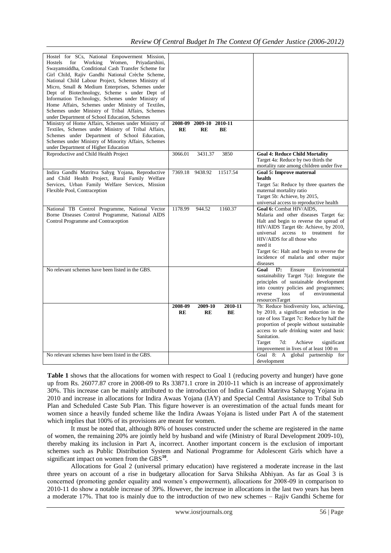| Hostel for SCs, National Empowerment Mission,         |                            |          |                                            |
|-------------------------------------------------------|----------------------------|----------|--------------------------------------------|
| Working<br>Women,<br>Hostels<br>for<br>Priyadarshini, |                            |          |                                            |
| Swayamsiddha, Conditional Cash Transfer Scheme for    |                            |          |                                            |
| Girl Child, Rajiv Gandhi National Crèche Scheme,      |                            |          |                                            |
| National Child Labour Project, Schemes Ministry of    |                            |          |                                            |
| Micro, Small & Medium Enterprises, Schemes under      |                            |          |                                            |
| Dept of Biotechnology, Scheme s under Dept of         |                            |          |                                            |
| Information Technology, Schemes under Ministry of     |                            |          |                                            |
|                                                       |                            |          |                                            |
| Home Affairs, Schemes under Ministry of Textiles,     |                            |          |                                            |
| Schemes under Ministry of Tribal Affairs, Schemes     |                            |          |                                            |
| under Department of School Education, Schemes         |                            |          |                                            |
| Ministry of Home Affairs, Schemes under Ministry of   | 2009-10 2010-11<br>2008-09 |          |                                            |
| Textiles, Schemes under Ministry of Tribal Affairs,   | RE<br>RE                   | BE       |                                            |
| Schemes under Department of School Education,         |                            |          |                                            |
| Schemes under Ministry of Minority Affairs, Schemes   |                            |          |                                            |
| under Department of Higher Education                  |                            |          |                                            |
| Reproductive and Child Health Project                 | 3066.01<br>3431.37         | 3850     | <b>Goal 4: Reduce Child Mortality</b>      |
|                                                       |                            |          | Target 4a: Reduce by two thirds the        |
|                                                       |                            |          |                                            |
|                                                       |                            |          | mortality rate among children under five   |
| Indira Gandhi Matritva Sahyg Yojana, Reproductive     | 7369.18<br>9438.92         | 11517.54 | <b>Goal 5: Improve maternal</b>            |
| and Child Health Project, Rural Family Welfare        |                            |          | health                                     |
| Services, Urban Family Welfare Services, Mission      |                            |          | Target 5a: Reduce by three quarters the    |
| Flexible Pool, Contraception                          |                            |          | maternal mortality ratio                   |
|                                                       |                            |          | Target 5b: Achieve, by 2015,               |
|                                                       |                            |          | universal access to reproductive health    |
| National TB Control Programme, National Vector        | 1178.99<br>944.52          | 1160.37  | Goal 6: Combat HIV/AIDS,                   |
| Borne Diseases Control Programme, National AIDS       |                            |          | Malaria and other diseases Target 6a:      |
|                                                       |                            |          |                                            |
| Control Programme and Contraception                   |                            |          | Halt and begin to reverse the spread of    |
|                                                       |                            |          | HIV/AIDS Target 6b: Achieve, by 2010,      |
|                                                       |                            |          | universal access to treatment for          |
|                                                       |                            |          | HIV/AIDS for all those who                 |
|                                                       |                            |          | need it                                    |
|                                                       |                            |          | Target 6c: Halt and begin to reverse the   |
|                                                       |                            |          | incidence of malaria and other major       |
|                                                       |                            |          | diseases                                   |
| No relevant schemes have been listed in the GBS.      |                            |          | Goal<br>17:<br>Ensure<br>Environmental     |
|                                                       |                            |          |                                            |
|                                                       |                            |          | sustainability Target 7(a): Integrate the  |
|                                                       |                            |          | principles of sustainable development      |
|                                                       |                            |          | into country policies and programmes;      |
|                                                       |                            |          | loss<br>environmental<br>reverse<br>of     |
|                                                       |                            |          | resourcesTarget                            |
|                                                       | 2008-09<br>2009-10         | 2010-11  | 7b: Reduce biodiversity loss, achieving,   |
|                                                       | RE<br>RE                   | BE       | by 2010, a significant reduction in the    |
|                                                       |                            |          | rate of loss Target 7c: Reduce by half the |
|                                                       |                            |          | proportion of people without sustainable   |
|                                                       |                            |          | access to safe drinking water and basic    |
|                                                       |                            |          | Sanitation.                                |
|                                                       |                            |          |                                            |
|                                                       |                            |          | Target<br>7d:<br>Achieve<br>significant    |
|                                                       |                            |          | improvement in lives of at least 100 m     |
| No relevant schemes have been listed in the GBS.      |                            |          | Goal 8: A global partnership for           |
|                                                       |                            |          | development                                |

**Table 1** shows that the allocations for women with respect to Goal 1 (reducing poverty and hunger) have gone up from Rs. 26077.87 crore in 2008-09 to Rs 33871.1 crore in 2010-11 which is an increase of approximately 30%. This increase can be mainly attributed to the introduction of Indira Gandhi Matritva Sahayog Yojana in 2010 and increase in allocations for Indira Awaas Yojana (IAY) and Special Central Assistance to Tribal Sub Plan and Scheduled Caste Sub Plan. This figure however is an overestimation of the actual funds meant for women since a heavily funded scheme like the Indira Awaas Yojana is listed under Part A of the statement which implies that 100% of its provisions are meant for women.

It must be noted that, although 80% of houses constructed under the scheme are registered in the name of women, the remaining 20% are jointly held by husband and wife (Ministry of Rural Development 2009-10), thereby making its inclusion in Part A, incorrect. Another important concern is the exclusion of important schemes such as Public Distribution System and National Programme for Adolescent Girls which have a significant impact on women from the GBS<sup>10</sup>.

Allocations for Goal 2 (universal primary education) have registered a moderate increase in the last three years on account of a rise in budgetary allocation for Sarva Shiksha Abhiyan. As far as Goal 3 is concerned (promoting gender equality and women's empowerment), allocations for 2008-09 in comparison to 2010-11 do show a notable increase of 39%. However, the increase in allocations in the last two years has been a moderate 17%. That too is mainly due to the introduction of two new schemes – Rajiv Gandhi Scheme for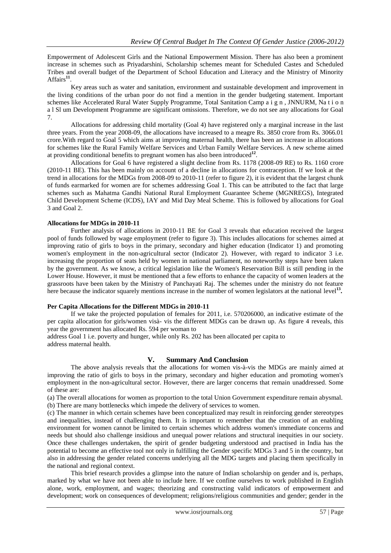Empowerment of Adolescent Girls and the National Empowerment Mission. There has also been a prominent increase in schemes such as Priyadarshini, Scholarship schemes meant for Scheduled Castes and Scheduled Tribes and overall budget of the Department of School Education and Literacy and the Ministry of Minority Affairs<sup>11</sup>.

Key areas such as water and sanitation, environment and sustainable development and improvement in the living conditions of the urban poor do not find a mention in the gender budgeting statement. Important schemes like Accelerated Rural Water Supply Programme, Total Sanitation Camp a i g n, JNNURM, Na t i o n a l Sl um Development Programme are significant omissions. Therefore, we do not see any allocations for Goal 7.

Allocations for addressing child mortality (Goal 4) have registered only a marginal increase in the last three years. From the year 2008-09, the allocations have increased to a meagre Rs. 3850 crore from Rs. 3066.01 crore.With regard to Goal 5 which aims at improving maternal health, there has been an increase in allocations for schemes like the Rural Family Welfare Services and Urban Family Welfare Services. A new scheme aimed at providing conditional benefits to pregnant women has also been introduced<sup>12</sup>.

Allocations for Goal 6 have registered a slight decline from Rs. 1178 (2008-09 RE) to Rs. 1160 crore (2010-11 BE). This has been mainly on account of a decline in allocations for contraception. If we look at the trend in allocations for the MDGs from 2008-09 to 2010-11 (refer to figure 2), it is evident that the largest chunk of funds earmarked for women are for schemes addressing Goal 1. This can be attributed to the fact that large schemes such as Mahatma Gandhi National Rural Employment Guarantee Scheme (MGNREGS), Integrated Child Development Scheme (ICDS), IAY and Mid Day Meal Scheme. This is followed by allocations for Goal 3 and Goal 2.

#### **Allocations for MDGs in 2010-11**

Further analysis of allocations in 2010-11 BE for Goal 3 reveals that education received the largest pool of funds followed by wage employment (refer to figure 3). This includes allocations for schemes aimed at improving ratio of girls to boys in the primary, secondary and higher education (Indicator 1) and promoting women's employment in the non-agricultural sector (Indicator 2). However, with regard to indicator 3 i.e. increasing the proportion of seats held by women in national parliament, no noteworthy steps have been taken by the government. As we know, a critical legislation like the Women's Reservation Bill is still pending in the Lower House. However, it must be mentioned that a few efforts to enhance the capacity of women leaders at the grassroots have been taken by the Ministry of Panchayati Raj. The schemes under the ministry do not feature here because the indicator squarely mentions increase in the number of women legislators at the national level<sup>13</sup>.

#### **Per Capita Allocations for the Different MDGs in 2010-11**

If we take the projected population of females for 2011, i.e. 570206000, an indicative estimate of the per capita allocation for girls/women visà- vis the different MDGs can be drawn up. As figure 4 reveals, this year the government has allocated Rs. 594 per woman to

address Goal 1 i.e. poverty and hunger, while only Rs. 202 has been allocated per capita to address maternal health.

## **V. Summary And Conclusion**

The above analysis reveals that the allocations for women vis-à-vis the MDGs are mainly aimed at improving the ratio of girls to boys in the primary, secondary and higher education and promoting women's employment in the non-agricultural sector. However, there are larger concerns that remain unaddressed. Some of these are:

(a) The overall allocations for women as proportion to the total Union Government expenditure remain abysmal. (b) There are many bottlenecks which impede the delivery of services to women.

(c) The manner in which certain schemes have been conceptualized may result in reinforcing gender stereotypes and inequalities, instead of challenging them. It is important to remember that the creation of an enabling environment for women cannot be limited to certain schemes which address women's immediate concerns and needs but should also challenge insidious and unequal power relations and structural inequities in our society. Once these challenges undertaken, the spirit of gender budgeting understood and practised in India has the potential to become an effective tool not only in fulfilling the Gender specific MDGs 3 and 5 in the country, but also in addressing the gender related concerns underlying all the MDG targets and placing them specifically in the national and regional context.

This brief research provides a glimpse into the nature of Indian scholarship on gender and is, perhaps, marked by what we have not been able to include here. If we confine ourselves to work published in English alone, work, employment, and wages; theorizing and constructing valid indicators of empowerment and development; work on consequences of development; religions/religious communities and gender; gender in the